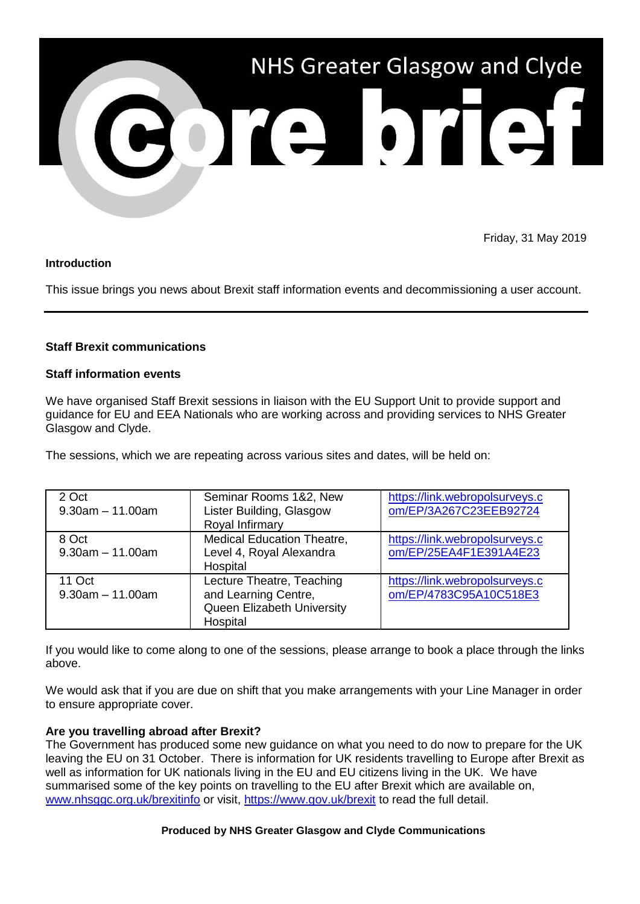

Friday, 31 May 2019

### **Introduction**

This issue brings you news about Brexit staff information events and decommissioning a user account.

# **Staff Brexit communications**

#### **Staff information events**

We have organised Staff Brexit sessions in liaison with the EU Support Unit to provide support and guidance for EU and EEA Nationals who are working across and providing services to NHS Greater Glasgow and Clyde.

The sessions, which we are repeating across various sites and dates, will be held on:

| 2 Oct<br>$9.30$ am $-11.00$ am  | Seminar Rooms 1&2, New<br>Lister Building, Glasgow<br>Royal Infirmary                       | https://link.webropolsurveys.c<br>om/EP/3A267C23EEB92724 |
|---------------------------------|---------------------------------------------------------------------------------------------|----------------------------------------------------------|
| 8 Oct<br>$9.30$ am $-11.00$ am  | <b>Medical Education Theatre,</b><br>Level 4, Royal Alexandra<br>Hospital                   | https://link.webropolsurveys.c<br>om/EP/25EA4F1E391A4E23 |
| 11 Oct<br>$9.30$ am $-11.00$ am | Lecture Theatre, Teaching<br>and Learning Centre,<br>Queen Elizabeth University<br>Hospital | https://link.webropolsurveys.c<br>om/EP/4783C95A10C518E3 |

If you would like to come along to one of the sessions, please arrange to book a place through the links above.

We would ask that if you are due on shift that you make arrangements with your Line Manager in order to ensure appropriate cover.

# **Are you travelling abroad after Brexit?**

The Government has produced some new guidance on what you need to do now to prepare for the UK leaving the EU on 31 October. There is information for UK residents travelling to Europe after Brexit as well as information for UK nationals living in the EU and EU citizens living in the UK. We have summarised some of the key points on travelling to the EU after Brexit which are available on, [www.nhsggc.org.uk/brexitinfo](http://www.nhsggc.org.uk/brexitinfo) or visit,<https://www.gov.uk/brexit> to read the full detail.

#### **Produced by NHS Greater Glasgow and Clyde Communications**